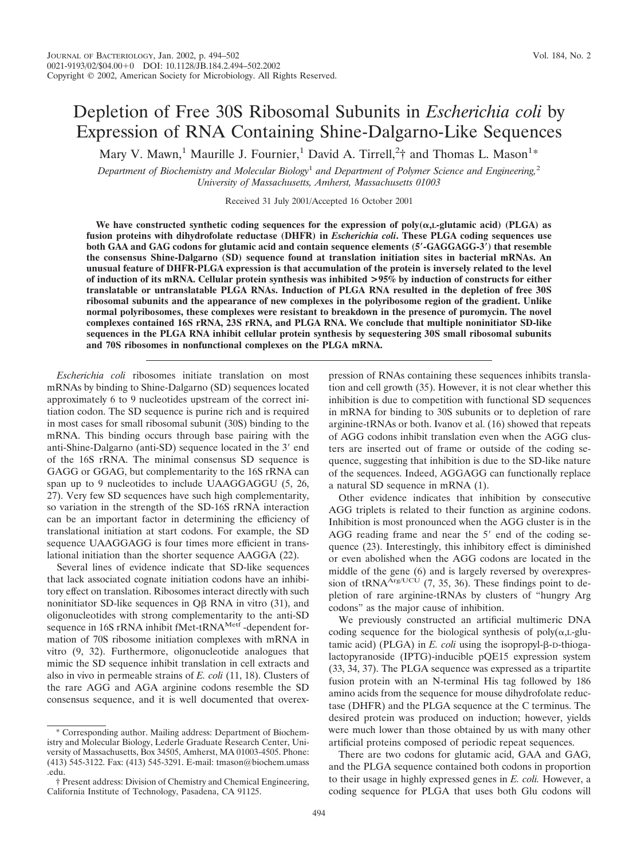# Depletion of Free 30S Ribosomal Subunits in *Escherichia coli* by Expression of RNA Containing Shine-Dalgarno-Like Sequences

Mary V. Mawn,<sup>1</sup> Maurille J. Fournier,<sup>1</sup> David A. Tirrell,<sup>2</sup>† and Thomas L. Mason<sup>1\*</sup>

*Department of Biochemistry and Molecular Biology*<sup>1</sup> *and Department of Polymer Science and Engineering,*<sup>2</sup> *University of Massachusetts, Amherst, Massachusetts 01003*

Received 31 July 2001/Accepted 16 October 2001

We have constructed synthetic coding sequences for the expression of  $poly(\alpha,L-glutamic~acid)$  (PLGA) as **fusion proteins with dihydrofolate reductase (DHFR) in** *Escherichia coli***. These PLGA coding sequences use both GAA and GAG codons for glutamic acid and contain sequence elements (5-GAGGAGG-3) that resemble the consensus Shine-Dalgarno (SD) sequence found at translation initiation sites in bacterial mRNAs. An unusual feature of DHFR-PLGA expression is that accumulation of the protein is inversely related to the level of induction of its mRNA. Cellular protein synthesis was inhibited >95% by induction of constructs for either translatable or untranslatable PLGA RNAs. Induction of PLGA RNA resulted in the depletion of free 30S ribosomal subunits and the appearance of new complexes in the polyribosome region of the gradient. Unlike normal polyribosomes, these complexes were resistant to breakdown in the presence of puromycin. The novel complexes contained 16S rRNA, 23S rRNA, and PLGA RNA. We conclude that multiple noninitiator SD-like sequences in the PLGA RNA inhibit cellular protein synthesis by sequestering 30S small ribosomal subunits and 70S ribosomes in nonfunctional complexes on the PLGA mRNA.**

*Escherichia coli* ribosomes initiate translation on most mRNAs by binding to Shine-Dalgarno (SD) sequences located approximately 6 to 9 nucleotides upstream of the correct initiation codon. The SD sequence is purine rich and is required in most cases for small ribosomal subunit (30S) binding to the mRNA. This binding occurs through base pairing with the anti-Shine-Dalgarno (anti-SD) sequence located in the 3' end of the 16S rRNA. The minimal consensus SD sequence is GAGG or GGAG, but complementarity to the 16S rRNA can span up to 9 nucleotides to include UAAGGAGGU (5, 26, 27). Very few SD sequences have such high complementarity, so variation in the strength of the SD-16S rRNA interaction can be an important factor in determining the efficiency of translational initiation at start codons. For example, the SD sequence UAAGGAGG is four times more efficient in translational initiation than the shorter sequence AAGGA (22).

Several lines of evidence indicate that SD-like sequences that lack associated cognate initiation codons have an inhibitory effect on translation. Ribosomes interact directly with such noninitiator SD-like sequences in  $\overline{QB}$  RNA in vitro (31), and oligonucleotides with strong complementarity to the anti-SD sequence in 16S rRNA inhibit fMet-tRNA<sup>Metf</sup> -dependent formation of 70S ribosome initiation complexes with mRNA in vitro (9, 32). Furthermore, oligonucleotide analogues that mimic the SD sequence inhibit translation in cell extracts and also in vivo in permeable strains of *E. coli* (11, 18). Clusters of the rare AGG and AGA arginine codons resemble the SD consensus sequence, and it is well documented that overexpression of RNAs containing these sequences inhibits translation and cell growth (35). However, it is not clear whether this inhibition is due to competition with functional SD sequences in mRNA for binding to 30S subunits or to depletion of rare arginine-tRNAs or both. Ivanov et al. (16) showed that repeats of AGG codons inhibit translation even when the AGG clusters are inserted out of frame or outside of the coding sequence, suggesting that inhibition is due to the SD-like nature of the sequences. Indeed, AGGAGG can functionally replace a natural SD sequence in mRNA (1).

Other evidence indicates that inhibition by consecutive AGG triplets is related to their function as arginine codons. Inhibition is most pronounced when the AGG cluster is in the AGG reading frame and near the 5' end of the coding sequence (23). Interestingly, this inhibitory effect is diminished or even abolished when the AGG codons are located in the middle of the gene (6) and is largely reversed by overexpression of tRNA $\overline{Arg/UCU}$  (7, 35, 36). These findings point to depletion of rare arginine-tRNAs by clusters of "hungry Arg codons" as the major cause of inhibition.

We previously constructed an artificial multimeric DNA coding sequence for the biological synthesis of  $poly(\alpha, L\text{-}glu$ tamic acid) (PLGA) in  $E$ . *coli* using the isopropyl- $\beta$ -D-thiogalactopyranoside (IPTG)-inducible pQE15 expression system (33, 34, 37). The PLGA sequence was expressed as a tripartite fusion protein with an N-terminal His tag followed by 186 amino acids from the sequence for mouse dihydrofolate reductase (DHFR) and the PLGA sequence at the C terminus. The desired protein was produced on induction; however, yields were much lower than those obtained by us with many other artificial proteins composed of periodic repeat sequences.

There are two codons for glutamic acid, GAA and GAG, and the PLGA sequence contained both codons in proportion to their usage in highly expressed genes in *E. coli.* However, a coding sequence for PLGA that uses both Glu codons will

<sup>\*</sup> Corresponding author. Mailing address: Department of Biochemistry and Molecular Biology, Lederle Graduate Research Center, University of Massachusetts, Box 34505, Amherst, MA 01003-4505. Phone: (413) 545-3122. Fax: (413) 545-3291. E-mail: tmason@biochem.umass .edu.

<sup>†</sup> Present address: Division of Chemistry and Chemical Engineering, California Institute of Technology, Pasadena, CA 91125.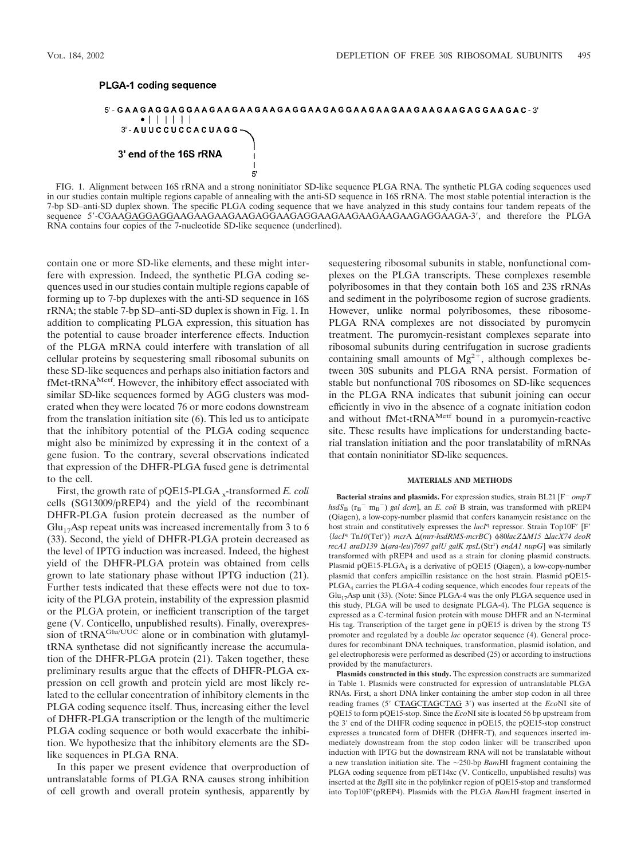## PLGA-1 coding sequence



FIG. 1. Alignment between 16S rRNA and a strong noninitiator SD-like sequence PLGA RNA. The synthetic PLGA coding sequences used in our studies contain multiple regions capable of annealing with the anti-SD sequence in 16S rRNA. The most stable potential interaction is the 7-bp SD–anti-SD duplex shown. The specific PLGA coding sequence that we have analyzed in this study contains four tandem repeats of the sequence 5--CGAAGAGGAGGAAGAAGAAGAAGAGGAAGAGGAAGAAGAAGAAGAAGAGGAAGA-3-, and therefore the PLGA RNA contains four copies of the 7-nucleotide SD-like sequence (underlined).

contain one or more SD-like elements, and these might interfere with expression. Indeed, the synthetic PLGA coding sequences used in our studies contain multiple regions capable of forming up to 7-bp duplexes with the anti-SD sequence in 16S rRNA; the stable 7-bp SD–anti-SD duplex is shown in Fig. 1. In addition to complicating PLGA expression, this situation has the potential to cause broader interference effects. Induction of the PLGA mRNA could interfere with translation of all cellular proteins by sequestering small ribosomal subunits on these SD-like sequences and perhaps also initiation factors and fMet-tRNA<sup>Metf</sup>. However, the inhibitory effect associated with similar SD-like sequences formed by AGG clusters was moderated when they were located 76 or more codons downstream from the translation initiation site (6). This led us to anticipate that the inhibitory potential of the PLGA coding sequence might also be minimized by expressing it in the context of a gene fusion. To the contrary, several observations indicated that expression of the DHFR-PLGA fused gene is detrimental to the cell.

First, the growth rate of pQE15-PLGA <sub>x</sub>-transformed *E. coli* cells (SG13009/pREP4) and the yield of the recombinant DHFR-PLGA fusion protein decreased as the number of  $Glu_{17}$ Asp repeat units was increased incrementally from 3 to 6 (33). Second, the yield of DHFR-PLGA protein decreased as the level of IPTG induction was increased. Indeed, the highest yield of the DHFR-PLGA protein was obtained from cells grown to late stationary phase without IPTG induction (21). Further tests indicated that these effects were not due to toxicity of the PLGA protein, instability of the expression plasmid or the PLGA protein, or inefficient transcription of the target gene (V. Conticello, unpublished results). Finally, overexpression of  $tRNA^{Glu/UUC}$  alone or in combination with glutamyltRNA synthetase did not significantly increase the accumulation of the DHFR-PLGA protein (21). Taken together, these preliminary results argue that the effects of DHFR-PLGA expression on cell growth and protein yield are most likely related to the cellular concentration of inhibitory elements in the PLGA coding sequence itself. Thus, increasing either the level of DHFR-PLGA transcription or the length of the multimeric PLGA coding sequence or both would exacerbate the inhibition. We hypothesize that the inhibitory elements are the SDlike sequences in PLGA RNA.

In this paper we present evidence that overproduction of untranslatable forms of PLGA RNA causes strong inhibition of cell growth and overall protein synthesis, apparently by sequestering ribosomal subunits in stable, nonfunctional complexes on the PLGA transcripts. These complexes resemble polyribosomes in that they contain both 16S and 23S rRNAs and sediment in the polyribosome region of sucrose gradients. However, unlike normal polyribosomes, these ribosome-PLGA RNA complexes are not dissociated by puromycin treatment. The puromycin-resistant complexes separate into ribosomal subunits during centrifugation in sucrose gradients containing small amounts of  $Mg^{2+}$ , although complexes between 30S subunits and PLGA RNA persist. Formation of stable but nonfunctional 70S ribosomes on SD-like sequences in the PLGA RNA indicates that subunit joining can occur efficiently in vivo in the absence of a cognate initiation codon and without fMet-tRNA<sup>Metf</sup> bound in a puromycin-reactive site. These results have implications for understanding bacterial translation initiation and the poor translatability of mRNAs that contain noninitiator SD-like sequences.

#### **MATERIALS AND METHODS**

**Bacterial strains and plasmids.** For expression studies, strain BL21 [F<sup>*-</sup> ompT*</sup>  $hsdS_B$  ( $r_B^-$  m<sub>B</sub><sup>-</sup>) *gal dcm*], an *E. coli* B strain, was transformed with pREP4 (Qiagen), a low-copy-number plasmid that confers kanamycin resistance on the host strain and constitutively expresses the *lacI*<sup>q</sup> repressor. Strain Top10F' [F' {*lacI*<sup>q</sup> Tn*10*(Tet<sup>r</sup> )} *mcr*A (*mrr*-*hsdRMS-mcrBC*) 80*lacZM15 lacX74 deoR recA1 araD139*  $\Delta$ (*ara-leu*)*7697 galU galK rpsL*(Str<sup>r</sup>) *endA1 nupG*] was similarly transformed with pREP4 and used as a strain for cloning plasmid constructs. Plasmid pQE15-PLGA<sub>4</sub> is a derivative of pQE15 (Qiagen), a low-copy-number plasmid that confers ampicillin resistance on the host strain. Plasmid pQE15- PLGA4 carries the PLGA-4 coding sequence, which encodes four repeats of the  $Glu_{17}$ Asp unit (33). (Note: Since PLGA-4 was the only PLGA sequence used in this study, PLGA will be used to designate PLGA-4). The PLGA sequence is expressed as a C-terminal fusion protein with mouse DHFR and an N-terminal His tag. Transcription of the target gene in pQE15 is driven by the strong T5 promoter and regulated by a double *lac* operator sequence (4). General procedures for recombinant DNA techniques, transformation, plasmid isolation, and gel electrophoresis were performed as described (25) or according to instructions provided by the manufacturers.

**Plasmids constructed in this study.** The expression constructs are summarized in Table 1. Plasmids were constructed for expression of untranslatable PLGA RNAs. First, a short DNA linker containing the amber stop codon in all three reading frames (5' CTAGCTAGCTAG 3') was inserted at the *Eco*NI site of pQE15 to form pQE15-stop. Since the *Eco*NI site is located 56 bp upstream from the 3' end of the DHFR coding sequence in pQE15, the pQE15-stop construct expresses a truncated form of DHFR (DHFR-T), and sequences inserted immediately downstream from the stop codon linker will be transcribed upon induction with IPTG but the downstream RNA will not be translatable without a new translation initiation site. The  $\sim$ 250-bp *Bam*HI fragment containing the PLGA coding sequence from pET14xc (V. Conticello, unpublished results) was inserted at the *Bgl*II site in the polylinker region of pQE15-stop and transformed into Top10F'(pREP4). Plasmids with the PLGA *BamHI* fragment inserted in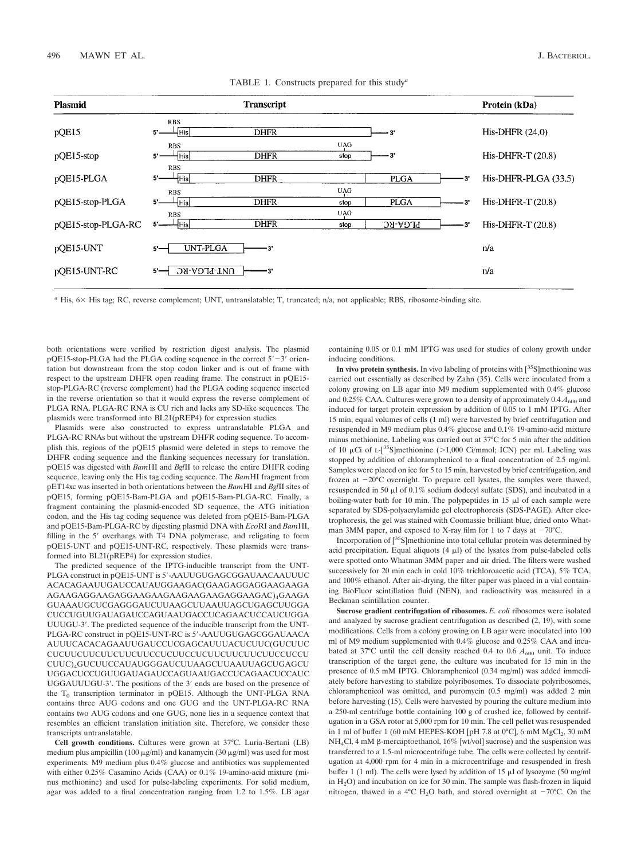| <b>Plasmid</b>     | <b>Transcript</b>                                                                 |      | Protein (kDa)        |
|--------------------|-----------------------------------------------------------------------------------|------|----------------------|
| pQE15              | <b>RBS</b><br>-[His]<br><b>DHFR</b><br>$5^{\circ}$<br>- 3'                        |      | His-DHFR $(24.0)$    |
| $p$ QE15-stop      | UAG<br><b>RBS</b><br><b>DHFR</b><br>HHisl<br>-3'<br>$5^{\circ}$<br>stop           |      | His-DHFR-T (20.8)    |
| pOE15-PLGA         | <b>RBS</b><br><b>PLGA</b><br><b>DHFR</b><br>5.<br>⊣His∣                           | -31  | His-DHFR-PLGA (33.5) |
| pQE15-stop-PLGA    | <b>UAG</b><br><b>RBS</b><br><b>DHFR</b><br><b>PLGA</b><br>$5 -$<br>-¦His <br>stop | 3'   | His-DHFR-T (20.8)    |
| pOE15-stop-PLGA-RC | <b>UAG</b><br><b>RBS</b><br><b>DHFR</b><br>PLGA-RC<br>┷┥His <br>stop              | — 3' | His-DHFR-T $(20.8)$  |
| pOE15-UNT          | <b>UNT-PLGA</b><br>$5 -$<br>3                                                     |      | n/a                  |
| pQE15-UNT-RC       | UNT-PLGA-RC<br>$5 -$                                                              |      | n/a                  |
|                    |                                                                                   |      |                      |

TABLE 1. Constructs prepared for this study*<sup>a</sup>*

*a* His, 6 X His tag; RC, reverse complement; UNT, untranslatable; T, truncated; n/a, not applicable; RBS, ribosome-binding site.

both orientations were verified by restriction digest analysis. The plasmid  $pQE15$ -stop-PLGA had the PLGA coding sequence in the correct  $5'-3'$  orientation but downstream from the stop codon linker and is out of frame with respect to the upstream DHFR open reading frame. The construct in pQE15 stop-PLGA-RC (reverse complement) had the PLGA coding sequence inserted in the reverse orientation so that it would express the reverse complement of PLGA RNA. PLGA-RC RNA is CU rich and lacks any SD-like sequences. The plasmids were transformed into BL21(pREP4) for expression studies.

Plasmids were also constructed to express untranslatable PLGA and PLGA-RC RNAs but without the upstream DHFR coding sequence. To accomplish this, regions of the pQE15 plasmid were deleted in steps to remove the DHFR coding sequence and the flanking sequences necessary for translation. pQE15 was digested with *Bam*HI and *Bgl*II to release the entire DHFR coding sequence, leaving only the His tag coding sequence. The *Bam*HI fragment from pET14xc was inserted in both orientations between the *Bam*HI and *Bgl*II sites of pQE15, forming pQE15-Bam-PLGA and pQE15-Bam-PLGA-RC. Finally, a fragment containing the plasmid-encoded SD sequence, the ATG initiation codon, and the His tag coding sequence was deleted from pQE15-Bam-PLGA and pQE15-Bam-PLGA-RC by digesting plasmid DNA with *Eco*RI and *Bam*HI, filling in the 5' overhangs with T4 DNA polymerase, and religating to form pQE15-UNT and pQE15-UNT-RC, respectively. These plasmids were transformed into BL21(pREP4) for expression studies.

The predicted sequence of the IPTG-inducible transcript from the UNT-PLGA construct in pQE15-UNT is 5'-AAUUGUGAGCGGAUAACAAUUUC ACACAGAAUUGAUCCAUAUGGAAGAC(GAAGAGGAGGAAGAAGA AGAAGAGGAAGAGGAAGAAGAAGAAGAAGAGGAAGAC)4GAAGA GUAAAUGCUCGAGGGAUCUUAAGCUUAAUUAGCUGAGCUUGGA CUCCUGUUGAUAGAUCCAGUAAUGACCUCAGAACUCCAUCUGGA UUUGU-3'. The predicted sequence of the inducible transcript from the UNT-PLGA-RC construct in pQE15-UNT-RC is 5--AAUUGUGAGCGGAUAACA AUUUCACACAGAAUUGAUCCUCGAGCAUUUACUCUUC(GUCUUC CUCUUCUUCUUCUUCUUCCUCUUCCUCUUCUUCUUCUUCCUCCU CUUC)4GUCUUCCAUAUGGGAUCUUAAGCUUAAUUAGCUGAGCU UGGACUCCUGUUGAUAGAUCCAGUAAUGACCUCAGAACUCCAUC UGGAUUUGU-3'. The positions of the 3' ends are based on the presence of the  $T_0$  transcription terminator in pQE15. Although the UNT-PLGA RNA contains three AUG codons and one GUG and the UNT-PLGA-RC RNA contains two AUG codons and one GUG, none lies in a sequence context that resembles an efficient translation initiation site. Therefore, we consider these transcripts untranslatable.

**Cell growth conditions.** Cultures were grown at 37°C. Luria-Bertani (LB) medium plus ampicillin (100  $\mu$ g/ml) and kanamycin (30  $\mu$ g/ml) was used for most experiments. M9 medium plus 0.4% glucose and antibiotics was supplemented with either 0.25% Casamino Acids (CAA) or 0.1% 19-amino-acid mixture (minus methionine) and used for pulse-labeling experiments. For solid medium, agar was added to a final concentration ranging from 1.2 to 1.5%. LB agar containing 0.05 or 0.1 mM IPTG was used for studies of colony growth under inducing conditions.

In vivo protein synthesis. In vivo labeling of proteins with  $[35S]$ methionine was carried out essentially as described by Zahn (35). Cells were inoculated from a colony growing on LB agar into M9 medium supplemented with 0.4% glucose and 0.25% CAA. Cultures were grown to a density of approximately  $0.4 A_{600}$  and induced for target protein expression by addition of 0.05 to 1 mM IPTG. After 15 min, equal volumes of cells (1 ml) were harvested by brief centrifugation and resuspended in M9 medium plus 0.4% glucose and 0.1% 19-amino-acid mixture minus methionine. Labeling was carried out at 37°C for 5 min after the addition of 10  $\mu$ Ci of L-[<sup>35</sup>S]methionine (>1,000 Ci/mmol; ICN) per ml. Labeling was stopped by addition of chloramphenicol to a final concentration of 2.5 mg/ml. Samples were placed on ice for 5 to 15 min, harvested by brief centrifugation, and frozen at  $-20^{\circ}$ C overnight. To prepare cell lysates, the samples were thawed, resuspended in 50  $\mu$ l of 0.1% sodium dodecyl sulfate (SDS), and incubated in a boiling-water bath for 10 min. The polypeptides in 15  $\mu$ l of each sample were separated by SDS-polyacrylamide gel electrophoresis (SDS-PAGE). After electrophoresis, the gel was stained with Coomassie brilliant blue, dried onto Whatman 3MM paper, and exposed to X-ray film for 1 to 7 days at  $-70^{\circ}$ C.

Incorporation of  $[^{35}S]$ methionine into total cellular protein was determined by acid precipitation. Equal aliquots  $(4 \mu l)$  of the lysates from pulse-labeled cells were spotted onto Whatman 3MM paper and air dried. The filters were washed successively for 20 min each in cold 10% trichloroacetic acid (TCA), 5% TCA, and 100% ethanol. After air-drying, the filter paper was placed in a vial containing BioFluor scintillation fluid (NEN), and radioactivity was measured in a Beckman scintillation counter.

**Sucrose gradient centrifugation of ribosomes.** *E. coli* ribosomes were isolated and analyzed by sucrose gradient centrifugation as described (2, 19), with some modifications. Cells from a colony growing on LB agar were inoculated into 100 ml of M9 medium supplemented with 0.4% glucose and 0.25% CAA and incubated at  $37^{\circ}$ C until the cell density reached 0.4 to 0.6  $A_{600}$  unit. To induce transcription of the target gene, the culture was incubated for 15 min in the presence of 0.5 mM IPTG. Chloramphenicol (0.34 mg/ml) was added immediately before harvesting to stabilize polyribosomes. To dissociate polyribosomes, chloramphenicol was omitted, and puromycin (0.5 mg/ml) was added 2 min before harvesting (15). Cells were harvested by pouring the culture medium into a 250-ml centrifuge bottle containing 100 g of crushed ice, followed by centrifugation in a GSA rotor at 5,000 rpm for 10 min. The cell pellet was resuspended in 1 ml of buffer 1 (60 mM HEPES-KOH [pH 7.8 at  $0^{\circ}$ C], 6 mM MgCl<sub>2</sub>, 30 mM  $NH<sub>4</sub>Cl$ , 4 mM  $\beta$ -mercaptoethanol, 16% [wt/vol] sucrose) and the suspension was transferred to a 1.5-ml microcentrifuge tube. The cells were collected by centrifugation at 4,000 rpm for 4 min in a microcentrifuge and resuspended in fresh buffer 1 (1 ml). The cells were lysed by addition of 15  $\mu$ l of lysozyme (50 mg/ml in  $H<sub>2</sub>O$ ) and incubation on ice for 30 min. The sample was flash-frozen in liquid nitrogen, thawed in a 4°C H<sub>2</sub>O bath, and stored overnight at  $-70^{\circ}$ C. On the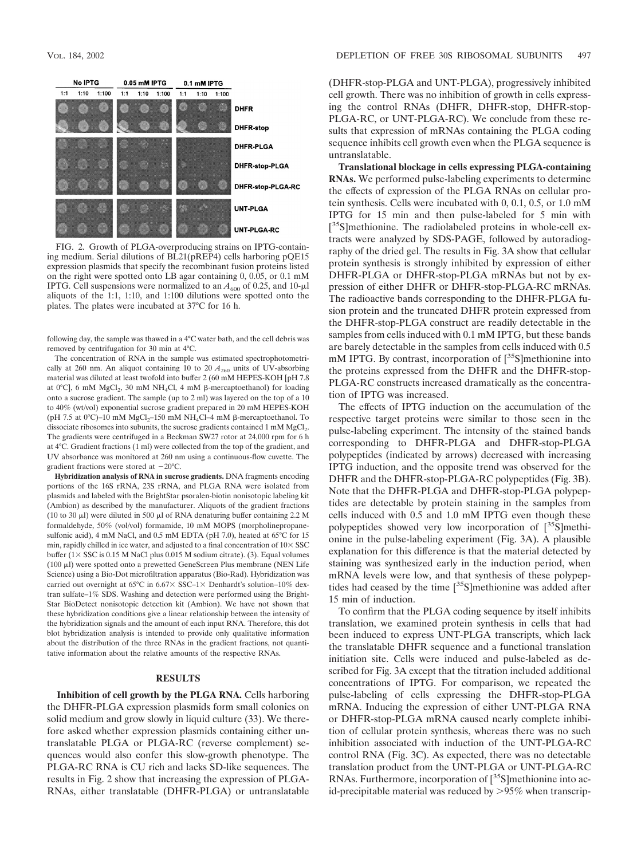

FIG. 2. Growth of PLGA-overproducing strains on IPTG-containing medium. Serial dilutions of BL21(pREP4) cells harboring pQE15 expression plasmids that specify the recombinant fusion proteins listed on the right were spotted onto LB agar containing 0, 0.05, or 0.1 mM IPTG. Cell suspensions were normalized to an  $A_{600}$  of 0.25, and 10- $\mu$ l aliquots of the 1:1, 1:10, and 1:100 dilutions were spotted onto the plates. The plates were incubated at 37°C for 16 h.

following day, the sample was thawed in a 4°C water bath, and the cell debris was removed by centrifugation for 30 min at 4°C.

The concentration of RNA in the sample was estimated spectrophotometrically at 260 nm. An aliquot containing 10 to 20  $A_{260}$  units of UV-absorbing material was diluted at least twofold into buffer 2 (60 mM HEPES-KOH [pH 7.8 at 0°C], 6 mM  $MgCl<sub>2</sub>$ , 30 mM NH<sub>4</sub>Cl, 4 mM  $\beta$ -mercaptoethanol) for loading onto a sucrose gradient. The sample (up to 2 ml) was layered on the top of a 10 to 40% (wt/vol) exponential sucrose gradient prepared in 20 mM HEPES-KOH (pH 7.5 at  $0^{\circ}$ C)–10 mM  $MgCl<sub>2</sub>$ –150 mM NH<sub>4</sub>Cl–4 mM  $\beta$ -mercaptoethanol. To dissociate ribosomes into subunits, the sucrose gradients contained 1 mM  $MgCl<sub>2</sub>$ . The gradients were centrifuged in a Beckman SW27 rotor at 24,000 rpm for 6 h at 4°C. Gradient fractions (1 ml) were collected from the top of the gradient, and UV absorbance was monitored at 260 nm using a continuous-flow cuvette. The gradient fractions were stored at  $-20^{\circ}$ C.

**Hybridization analysis of RNA in sucrose gradients.** DNA fragments encoding portions of the 16S rRNA, 23S rRNA, and PLGA RNA were isolated from plasmids and labeled with the BrightStar psoralen-biotin nonisotopic labeling kit (Ambion) as described by the manufacturer. Aliquots of the gradient fractions (10 to 30  $\mu$ ) were diluted in 500  $\mu$ l of RNA denaturing buffer containing 2.2 M formaldehyde, 50% (vol/vol) formamide, 10 mM MOPS (morpholinepropanesulfonic acid), 4 mM NaCl, and 0.5 mM EDTA (pH 7.0), heated at 65°C for 15 min, rapidly chilled in ice water, and adjusted to a final concentration of  $10\times$  SSC buffer ( $1 \times SSC$  is 0.15 M NaCl plus 0.015 M sodium citrate). (3). Equal volumes (100  $\mu$ l) were spotted onto a prewetted GeneScreen Plus membrane (NEN Life Science) using a Bio-Dot microfiltration apparatus (Bio-Rad). Hybridization was carried out overnight at 65°C in 6.67× SSC-1× Denhardt's solution-10% dextran sulfate–1% SDS. Washing and detection were performed using the Bright-Star BioDetect nonisotopic detection kit (Ambion). We have not shown that these hybridization conditions give a linear relationship between the intensity of the hybridization signals and the amount of each input RNA. Therefore, this dot blot hybridization analysis is intended to provide only qualitative information about the distribution of the three RNAs in the gradient fractions, not quantitative information about the relative amounts of the respective RNAs.

## **RESULTS**

**Inhibition of cell growth by the PLGA RNA.** Cells harboring the DHFR-PLGA expression plasmids form small colonies on solid medium and grow slowly in liquid culture (33). We therefore asked whether expression plasmids containing either untranslatable PLGA or PLGA-RC (reverse complement) sequences would also confer this slow-growth phenotype. The PLGA-RC RNA is CU rich and lacks SD-like sequences. The results in Fig. 2 show that increasing the expression of PLGA-RNAs, either translatable (DHFR-PLGA) or untranslatable (DHFR-stop-PLGA and UNT-PLGA), progressively inhibited cell growth. There was no inhibition of growth in cells expressing the control RNAs (DHFR, DHFR-stop, DHFR-stop-PLGA-RC, or UNT-PLGA-RC). We conclude from these results that expression of mRNAs containing the PLGA coding sequence inhibits cell growth even when the PLGA sequence is untranslatable.

**Translational blockage in cells expressing PLGA-containing RNAs.** We performed pulse-labeling experiments to determine the effects of expression of the PLGA RNAs on cellular protein synthesis. Cells were incubated with 0, 0.1, 0.5, or 1.0 mM IPTG for 15 min and then pulse-labeled for 5 min with [<sup>35</sup>S]methionine. The radiolabeled proteins in whole-cell extracts were analyzed by SDS-PAGE, followed by autoradiography of the dried gel. The results in Fig. 3A show that cellular protein synthesis is strongly inhibited by expression of either DHFR-PLGA or DHFR-stop-PLGA mRNAs but not by expression of either DHFR or DHFR-stop-PLGA-RC mRNAs. The radioactive bands corresponding to the DHFR-PLGA fusion protein and the truncated DHFR protein expressed from the DHFR-stop-PLGA construct are readily detectable in the samples from cells induced with 0.1 mM IPTG, but these bands are barely detectable in the samples from cells induced with 0.5 mM IPTG. By contrast, incorporation of  $[^{35}S]$ methionine into the proteins expressed from the DHFR and the DHFR-stop-PLGA-RC constructs increased dramatically as the concentration of IPTG was increased.

The effects of IPTG induction on the accumulation of the respective target proteins were similar to those seen in the pulse-labeling experiment. The intensity of the stained bands corresponding to DHFR-PLGA and DHFR-stop-PLGA polypeptides (indicated by arrows) decreased with increasing IPTG induction, and the opposite trend was observed for the DHFR and the DHFR-stop-PLGA-RC polypeptides (Fig. 3B). Note that the DHFR-PLGA and DHFR-stop-PLGA polypeptides are detectable by protein staining in the samples from cells induced with 0.5 and 1.0 mM IPTG even though these polypeptides showed very low incorporation of  $[^{35}S]$ methionine in the pulse-labeling experiment (Fig. 3A). A plausible explanation for this difference is that the material detected by staining was synthesized early in the induction period, when mRNA levels were low, and that synthesis of these polypeptides had ceased by the time  $[35S]$ methionine was added after 15 min of induction.

To confirm that the PLGA coding sequence by itself inhibits translation, we examined protein synthesis in cells that had been induced to express UNT-PLGA transcripts, which lack the translatable DHFR sequence and a functional translation initiation site. Cells were induced and pulse-labeled as described for Fig. 3A except that the titration included additional concentrations of IPTG. For comparison, we repeated the pulse-labeling of cells expressing the DHFR-stop-PLGA mRNA. Inducing the expression of either UNT-PLGA RNA or DHFR-stop-PLGA mRNA caused nearly complete inhibition of cellular protein synthesis, whereas there was no such inhibition associated with induction of the UNT-PLGA-RC control RNA (Fig. 3C). As expected, there was no detectable translation product from the UNT-PLGA or UNT-PLGA-RC RNAs. Furthermore, incorporation of  $[^{35}S]$ methionine into acid-precipitable material was reduced by 95% when transcrip-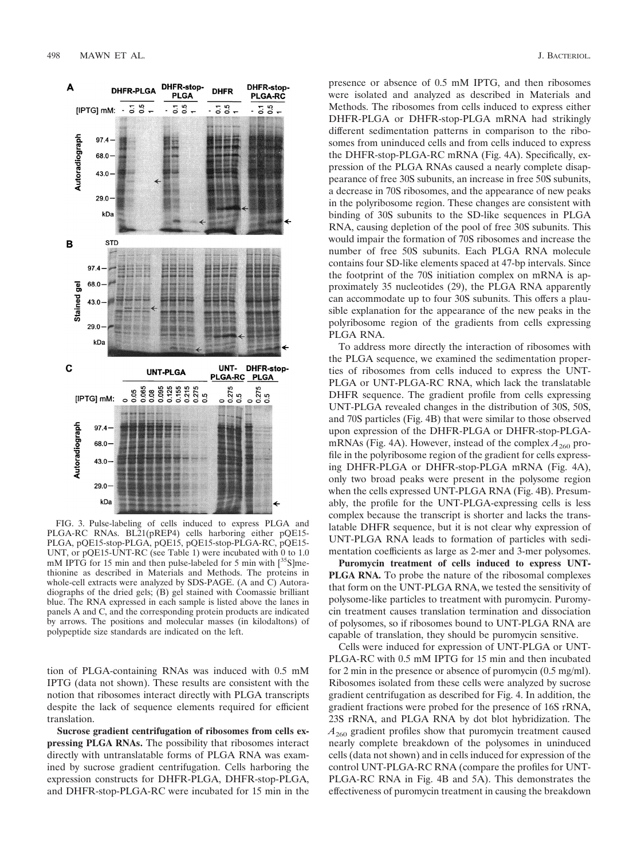



FIG. 3. Pulse-labeling of cells induced to express PLGA and PLGA-RC RNAs. BL21(pREP4) cells harboring either pQE15- PLGA, pQE15-stop-PLGA, pQE15, pQE15-stop-PLGA-RC, pQE15- UNT, or pQE15-UNT-RC (see Table 1) were incubated with 0 to 1.0 mM IPTG for 15 min and then pulse-labeled for 5 min with  $\binom{35}{5}$ ]methionine as described in Materials and Methods. The proteins in whole-cell extracts were analyzed by SDS-PAGE. (A and C) Autoradiographs of the dried gels; (B) gel stained with Coomassie brilliant blue. The RNA expressed in each sample is listed above the lanes in panels A and C, and the corresponding protein products are indicated by arrows. The positions and molecular masses (in kilodaltons) of polypeptide size standards are indicated on the left.

tion of PLGA-containing RNAs was induced with 0.5 mM IPTG (data not shown). These results are consistent with the notion that ribosomes interact directly with PLGA transcripts despite the lack of sequence elements required for efficient translation.

**Sucrose gradient centrifugation of ribosomes from cells expressing PLGA RNAs.** The possibility that ribosomes interact directly with untranslatable forms of PLGA RNA was examined by sucrose gradient centrifugation. Cells harboring the expression constructs for DHFR-PLGA, DHFR-stop-PLGA, and DHFR-stop-PLGA-RC were incubated for 15 min in the

presence or absence of 0.5 mM IPTG, and then ribosomes were isolated and analyzed as described in Materials and Methods. The ribosomes from cells induced to express either DHFR-PLGA or DHFR-stop-PLGA mRNA had strikingly different sedimentation patterns in comparison to the ribosomes from uninduced cells and from cells induced to express the DHFR-stop-PLGA-RC mRNA (Fig. 4A). Specifically, expression of the PLGA RNAs caused a nearly complete disappearance of free 30S subunits, an increase in free 50S subunits, a decrease in 70S ribosomes, and the appearance of new peaks in the polyribosome region. These changes are consistent with binding of 30S subunits to the SD-like sequences in PLGA RNA, causing depletion of the pool of free 30S subunits. This would impair the formation of 70S ribosomes and increase the number of free 50S subunits. Each PLGA RNA molecule contains four SD-like elements spaced at 47-bp intervals. Since the footprint of the 70S initiation complex on mRNA is approximately 35 nucleotides (29), the PLGA RNA apparently can accommodate up to four 30S subunits. This offers a plausible explanation for the appearance of the new peaks in the polyribosome region of the gradients from cells expressing PLGA RNA.

To address more directly the interaction of ribosomes with the PLGA sequence, we examined the sedimentation properties of ribosomes from cells induced to express the UNT-PLGA or UNT-PLGA-RC RNA, which lack the translatable DHFR sequence. The gradient profile from cells expressing UNT-PLGA revealed changes in the distribution of 30S, 50S, and 70S particles (Fig. 4B) that were similar to those observed upon expression of the DHFR-PLGA or DHFR-stop-PLGAmRNAs (Fig. 4A). However, instead of the complex  $A_{260}$  profile in the polyribosome region of the gradient for cells expressing DHFR-PLGA or DHFR-stop-PLGA mRNA (Fig. 4A), only two broad peaks were present in the polysome region when the cells expressed UNT-PLGA RNA (Fig. 4B). Presumably, the profile for the UNT-PLGA-expressing cells is less complex because the transcript is shorter and lacks the translatable DHFR sequence, but it is not clear why expression of UNT-PLGA RNA leads to formation of particles with sedimentation coefficients as large as 2-mer and 3-mer polysomes.

**Puromycin treatment of cells induced to express UNT-PLGA RNA.** To probe the nature of the ribosomal complexes that form on the UNT-PLGA RNA, we tested the sensitivity of polysome-like particles to treatment with puromycin. Puromycin treatment causes translation termination and dissociation of polysomes, so if ribosomes bound to UNT-PLGA RNA are capable of translation, they should be puromycin sensitive.

Cells were induced for expression of UNT-PLGA or UNT-PLGA-RC with 0.5 mM IPTG for 15 min and then incubated for 2 min in the presence or absence of puromycin (0.5 mg/ml). Ribosomes isolated from these cells were analyzed by sucrose gradient centrifugation as described for Fig. 4. In addition, the gradient fractions were probed for the presence of 16S rRNA, 23S rRNA, and PLGA RNA by dot blot hybridization. The  $A_{260}$  gradient profiles show that puromycin treatment caused nearly complete breakdown of the polysomes in uninduced cells (data not shown) and in cells induced for expression of the control UNT-PLGA-RC RNA (compare the profiles for UNT-PLGA-RC RNA in Fig. 4B and 5A). This demonstrates the effectiveness of puromycin treatment in causing the breakdown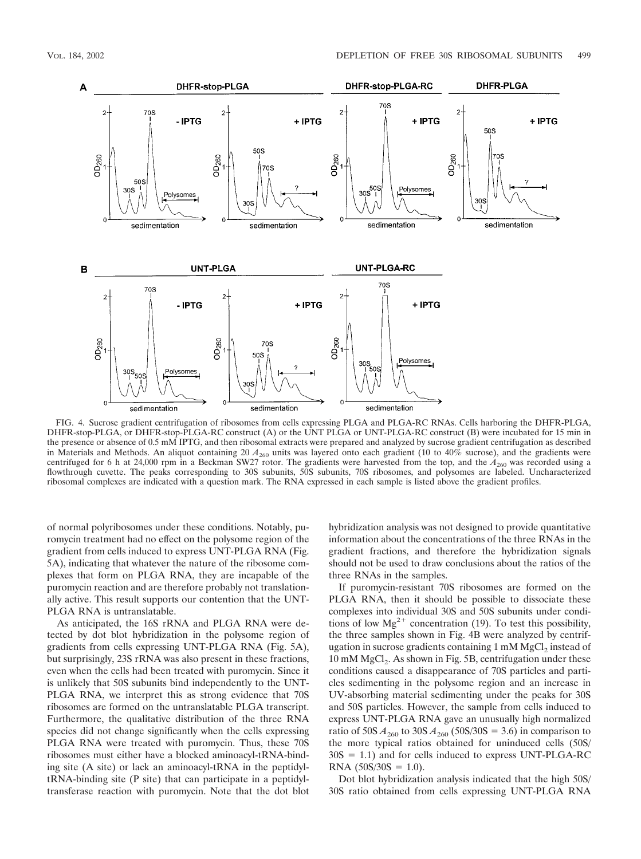

FIG. 4. Sucrose gradient centrifugation of ribosomes from cells expressing PLGA and PLGA-RC RNAs. Cells harboring the DHFR-PLGA, DHFR-stop-PLGA, or DHFR-stop-PLGA-RC construct (A) or the UNT PLGA or UNT-PLGA-RC construct (B) were incubated for 15 min in the presence or absence of 0.5 mM IPTG, and then ribosomal extracts were prepared and analyzed by sucrose gradient centrifugation as described in Materials and Methods. An aliquot containing 20  $A_{260}$  units was layered onto each gradient (10 to 40% sucrose), and the gradients were centrifuged for 6 h at 24,000 rpm in a Beckman SW27 rotor. The gradients were harvested from the top, and the  $A_{260}$  was recorded using a flowthrough cuvette. The peaks corresponding to 30S subunits, 50S subunits, 70S ribosomes, and polysomes are labeled. Uncharacterized ribosomal complexes are indicated with a question mark. The RNA expressed in each sample is listed above the gradient profiles.

of normal polyribosomes under these conditions. Notably, puromycin treatment had no effect on the polysome region of the gradient from cells induced to express UNT-PLGA RNA (Fig. 5A), indicating that whatever the nature of the ribosome complexes that form on PLGA RNA, they are incapable of the puromycin reaction and are therefore probably not translationally active. This result supports our contention that the UNT-PLGA RNA is untranslatable.

As anticipated, the 16S rRNA and PLGA RNA were detected by dot blot hybridization in the polysome region of gradients from cells expressing UNT-PLGA RNA (Fig. 5A), but surprisingly, 23S rRNA was also present in these fractions, even when the cells had been treated with puromycin. Since it is unlikely that 50S subunits bind independently to the UNT-PLGA RNA, we interpret this as strong evidence that 70S ribosomes are formed on the untranslatable PLGA transcript. Furthermore, the qualitative distribution of the three RNA species did not change significantly when the cells expressing PLGA RNA were treated with puromycin. Thus, these 70S ribosomes must either have a blocked aminoacyl-tRNA-binding site (A site) or lack an aminoacyl-tRNA in the peptidyltRNA-binding site (P site) that can participate in a peptidyltransferase reaction with puromycin. Note that the dot blot hybridization analysis was not designed to provide quantitative information about the concentrations of the three RNAs in the gradient fractions, and therefore the hybridization signals should not be used to draw conclusions about the ratios of the three RNAs in the samples.

If puromycin-resistant 70S ribosomes are formed on the PLGA RNA, then it should be possible to dissociate these complexes into individual 30S and 50S subunits under conditions of low  $Mg^{2+}$  concentration (19). To test this possibility, the three samples shown in Fig. 4B were analyzed by centrifugation in sucrose gradients containing  $1 \text{ mM } MgCl<sub>2</sub>$  instead of 10 mM  $MgCl<sub>2</sub>$ . As shown in Fig. 5B, centrifugation under these conditions caused a disappearance of 70S particles and particles sedimenting in the polysome region and an increase in UV-absorbing material sedimenting under the peaks for 30S and 50S particles. However, the sample from cells induced to express UNT-PLGA RNA gave an unusually high normalized ratio of  $50S A_{260}$  to  $30S A_{260}$  ( $50S/30S = 3.6$ ) in comparison to the more typical ratios obtained for uninduced cells (50S/  $30S = 1.1$ ) and for cells induced to express UNT-PLGA-RC  $RNA (50S/30S = 1.0).$ 

Dot blot hybridization analysis indicated that the high 50S/ 30S ratio obtained from cells expressing UNT-PLGA RNA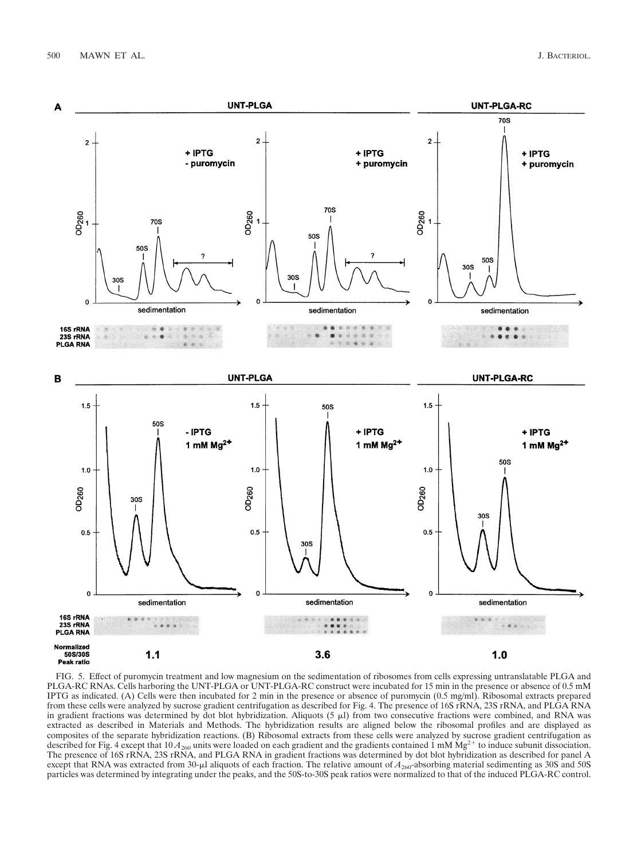

FIG. 5. Effect of puromycin treatment and low magnesium on the sedimentation of ribosomes from cells expressing untranslatable PLGA and PLGA-RC RNAs. Cells harboring the UNT-PLGA or UNT-PLGA-RC construct were incubated for 15 min in the presence or absence of 0.5 mM IPTG as indicated. (A) Cells were then incubated for 2 min in the presence or absence of puromycin (0.5 mg/ml). Ribosomal extracts prepared from these cells were analyzed by sucrose gradient centrifugation as described for Fig. 4. The presence of 16S rRNA, 23S rRNA, and PLGA RNA in gradient fractions was determined by dot blot hybridization. Aliquots  $(5 \mu l)$  from two consecutive fractions were combined, and RNA was extracted as described in Materials and Methods. The hybridization results are aligned below the ribosomal profiles and are displayed as composites of the separate hybridization reactions. (B) Ribosomal extracts from these cells were analyzed by sucrose gradient centrifugation as described for Fig. 4 except that  $10 A_{260}$  units were loaded on each gradient and the gradients contained 1 mM Mg<sup>2+</sup> to induce subunit dissociation. The presence of 16S rRNA, 23S rRNA, and PLGA RNA in gradient fractions was determined by dot blot hybridization as described for panel A except that RNA was extracted from 30-µl aliquots of each fraction. The relative amount of  $A_{260}$ -absorbing material sedimenting as 30S and 50S particles was determined by integrating under the peaks, and the 50S-to-30S peak ratios were normalized to that of the induced PLGA-RC control.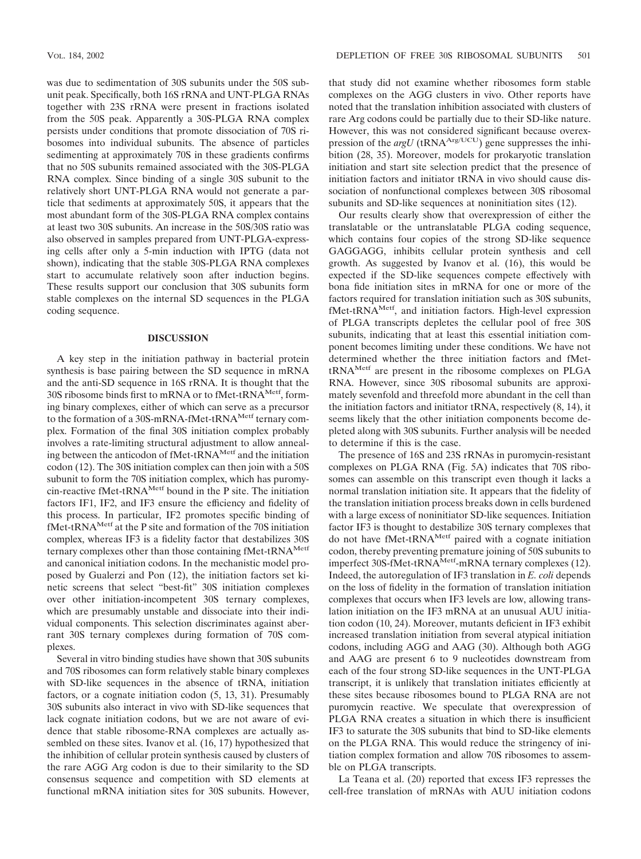was due to sedimentation of 30S subunits under the 50S subunit peak. Specifically, both 16S rRNA and UNT-PLGA RNAs together with 23S rRNA were present in fractions isolated from the 50S peak. Apparently a 30S-PLGA RNA complex persists under conditions that promote dissociation of 70S ribosomes into individual subunits. The absence of particles sedimenting at approximately 70S in these gradients confirms that no 50S subunits remained associated with the 30S-PLGA RNA complex. Since binding of a single 30S subunit to the relatively short UNT-PLGA RNA would not generate a particle that sediments at approximately 50S, it appears that the most abundant form of the 30S-PLGA RNA complex contains at least two 30S subunits. An increase in the 50S/30S ratio was also observed in samples prepared from UNT-PLGA-expressing cells after only a 5-min induction with IPTG (data not shown), indicating that the stable 30S-PLGA RNA complexes start to accumulate relatively soon after induction begins. These results support our conclusion that 30S subunits form stable complexes on the internal SD sequences in the PLGA coding sequence.

## **DISCUSSION**

A key step in the initiation pathway in bacterial protein synthesis is base pairing between the SD sequence in mRNA and the anti-SD sequence in 16S rRNA. It is thought that the 30S ribosome binds first to mRNA or to fMet-tRNA<sup>Metf</sup>, forming binary complexes, either of which can serve as a precursor to the formation of a 30S-mRNA-fMet-tRNA<sup>Metf</sup> ternary complex. Formation of the final 30S initiation complex probably involves a rate-limiting structural adjustment to allow annealing between the anticodon of  $fMet-tRNA^{Mert}$  and the initiation codon (12). The 30S initiation complex can then join with a 50S subunit to form the 70S initiation complex, which has puromycin-reactive fMet-tRNA<sup>Metf</sup> bound in the P site. The initiation factors IF1, IF2, and IF3 ensure the efficiency and fidelity of this process. In particular, IF2 promotes specific binding of fMet-tRNAMetf at the P site and formation of the 70S initiation complex, whereas IF3 is a fidelity factor that destabilizes 30S ternary complexes other than those containing fMet-tRNA<sup>Metf</sup> and canonical initiation codons. In the mechanistic model proposed by Gualerzi and Pon (12), the initiation factors set kinetic screens that select "best-fit" 30S initiation complexes over other initiation-incompetent 30S ternary complexes, which are presumably unstable and dissociate into their individual components. This selection discriminates against aberrant 30S ternary complexes during formation of 70S complexes.

Several in vitro binding studies have shown that 30S subunits and 70S ribosomes can form relatively stable binary complexes with SD-like sequences in the absence of tRNA, initiation factors, or a cognate initiation codon (5, 13, 31). Presumably 30S subunits also interact in vivo with SD-like sequences that lack cognate initiation codons, but we are not aware of evidence that stable ribosome-RNA complexes are actually assembled on these sites. Ivanov et al. (16, 17) hypothesized that the inhibition of cellular protein synthesis caused by clusters of the rare AGG Arg codon is due to their similarity to the SD consensus sequence and competition with SD elements at functional mRNA initiation sites for 30S subunits. However, that study did not examine whether ribosomes form stable complexes on the AGG clusters in vivo. Other reports have noted that the translation inhibition associated with clusters of rare Arg codons could be partially due to their SD-like nature. However, this was not considered significant because overexpression of the  $argU$  (tRNA<sup>Arg/UCU</sup>) gene suppresses the inhibition (28, 35). Moreover, models for prokaryotic translation initiation and start site selection predict that the presence of initiation factors and initiator tRNA in vivo should cause dissociation of nonfunctional complexes between 30S ribosomal subunits and SD-like sequences at noninitiation sites (12).

Our results clearly show that overexpression of either the translatable or the untranslatable PLGA coding sequence, which contains four copies of the strong SD-like sequence GAGGAGG, inhibits cellular protein synthesis and cell growth. As suggested by Ivanov et al. (16), this would be expected if the SD-like sequences compete effectively with bona fide initiation sites in mRNA for one or more of the factors required for translation initiation such as 30S subunits, fMet-tRNA<sup>Metf</sup>, and initiation factors. High-level expression of PLGA transcripts depletes the cellular pool of free 30S subunits, indicating that at least this essential initiation component becomes limiting under these conditions. We have not determined whether the three initiation factors and fMettRNAMetf are present in the ribosome complexes on PLGA RNA. However, since 30S ribosomal subunits are approximately sevenfold and threefold more abundant in the cell than the initiation factors and initiator tRNA, respectively (8, 14), it seems likely that the other initiation components become depleted along with 30S subunits. Further analysis will be needed to determine if this is the case.

The presence of 16S and 23S rRNAs in puromycin-resistant complexes on PLGA RNA (Fig. 5A) indicates that 70S ribosomes can assemble on this transcript even though it lacks a normal translation initiation site. It appears that the fidelity of the translation initiation process breaks down in cells burdened with a large excess of noninitiator SD-like sequences. Initiation factor IF3 is thought to destabilize 30S ternary complexes that do not have fMet-tRNA<sup>Metf</sup> paired with a cognate initiation codon, thereby preventing premature joining of 50S subunits to imperfect 30S-fMet-tRNA<sup>Metf</sup>-mRNA ternary complexes (12). Indeed, the autoregulation of IF3 translation in *E. coli* depends on the loss of fidelity in the formation of translation initiation complexes that occurs when IF3 levels are low, allowing translation initiation on the IF3 mRNA at an unusual AUU initiation codon (10, 24). Moreover, mutants deficient in IF3 exhibit increased translation initiation from several atypical initiation codons, including AGG and AAG (30). Although both AGG and AAG are present 6 to 9 nucleotides downstream from each of the four strong SD-like sequences in the UNT-PLGA transcript, it is unlikely that translation initiates efficiently at these sites because ribosomes bound to PLGA RNA are not puromycin reactive. We speculate that overexpression of PLGA RNA creates a situation in which there is insufficient IF3 to saturate the 30S subunits that bind to SD-like elements on the PLGA RNA. This would reduce the stringency of initiation complex formation and allow 70S ribosomes to assemble on PLGA transcripts.

La Teana et al. (20) reported that excess IF3 represses the cell-free translation of mRNAs with AUU initiation codons